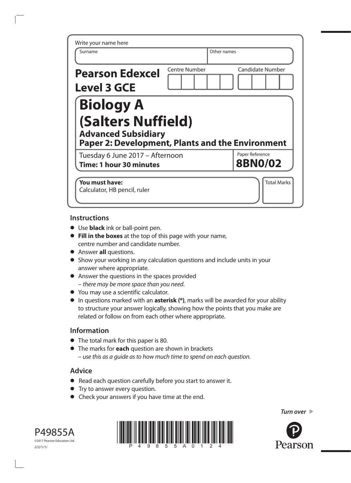| Write your name here<br>Surname                                                                                    |                      | Other names                       |  |
|--------------------------------------------------------------------------------------------------------------------|----------------------|-----------------------------------|--|
| <b>Pearson Edexcel</b><br><b>Level 3 GCE</b>                                                                       | <b>Centre Number</b> | <b>Candidate Number</b>           |  |
| <b>Biology A</b>                                                                                                   |                      |                                   |  |
| <b>(Salters Nuffield)</b><br><b>Advanced Subsidiary</b><br><b>Paper 2: Development, Plants and the Environment</b> |                      |                                   |  |
| Tuesday 6 June 2017 - Afternoon<br><b>Time: 1 hour 30 minutes</b>                                                  |                      | Paper Reference<br><b>8BN0/02</b> |  |

## **Instructions**

- **•** Use **black** ink or ball-point pen.
- **• Fill in the boxes** at the top of this page with your name, centre number and candidate number.
- **•** Answer **all** questions.
- **•** Show your working in any calculation questions and include units in your answer where appropriate.
- **•** Answer the questions in the spaces provided – *there may be more space than you need*.
- **•** You may use a scientific calculator.
- **•** In questions marked with an **asterisk (\*)**, marks will be awarded for your ability to structure your answer logically, showing how the points that you make are related or follow on from each other where appropriate.

## **Information**

- **•** The total mark for this paper is 80.
- **•** The marks for **each** question are shown in brackets *– use this as a guide as to how much time to spend on each question.*

## **Advice**

- **•** Read each question carefully before you start to answer it.
- **•** Try to answer every question.
- **•** Check your answers if you have time at the end.







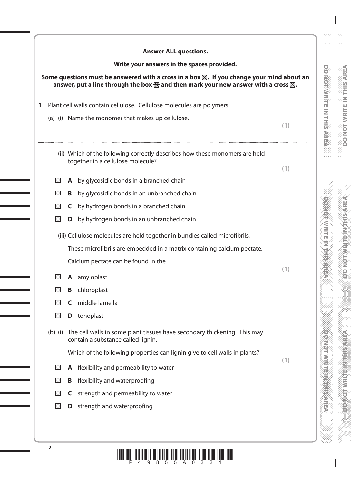|                                            |   | <b>Answer ALL questions.</b>                                                                                                                                                                                    |     |
|--------------------------------------------|---|-----------------------------------------------------------------------------------------------------------------------------------------------------------------------------------------------------------------|-----|
| Write your answers in the spaces provided. |   |                                                                                                                                                                                                                 |     |
|                                            |   | Some questions must be answered with a cross in a box $\boxtimes$ . If you change your mind about an<br>answer, put a line through the box $\boxtimes$ and then mark your new answer with a cross $\boxtimes$ . |     |
| 1                                          |   | Plant cell walls contain cellulose. Cellulose molecules are polymers.                                                                                                                                           |     |
| $(a)$ (i)                                  |   | Name the monomer that makes up cellulose.                                                                                                                                                                       |     |
|                                            |   |                                                                                                                                                                                                                 | (1) |
|                                            |   | (ii) Which of the following correctly describes how these monomers are held                                                                                                                                     |     |
|                                            |   | together in a cellulose molecule?                                                                                                                                                                               | (1) |
| $\times$                                   | A | by glycosidic bonds in a branched chain                                                                                                                                                                         |     |
| $\times$                                   | B | by glycosidic bonds in an unbranched chain                                                                                                                                                                      |     |
| $\times$                                   | C | by hydrogen bonds in a branched chain                                                                                                                                                                           |     |
| $\times$                                   | D | by hydrogen bonds in an unbranched chain                                                                                                                                                                        |     |
|                                            |   | (iii) Cellulose molecules are held together in bundles called microfibrils.                                                                                                                                     |     |
|                                            |   | These microfibrils are embedded in a matrix containing calcium pectate.                                                                                                                                         |     |
|                                            |   | Calcium pectate can be found in the                                                                                                                                                                             |     |
|                                            | A | amyloplast                                                                                                                                                                                                      | (1) |
|                                            | В | chloroplast                                                                                                                                                                                                     |     |
|                                            | C | middle lamella                                                                                                                                                                                                  |     |
| ×                                          | D | tonoplast                                                                                                                                                                                                       |     |
| $(b)$ (i)                                  |   | The cell walls in some plant tissues have secondary thickening. This may<br>contain a substance called lignin.                                                                                                  |     |
|                                            |   | Which of the following properties can lignin give to cell walls in plants?                                                                                                                                      |     |
| $\times$                                   | A | flexibility and permeability to water                                                                                                                                                                           | (1) |
| $\times$                                   | B | flexibility and waterproofing                                                                                                                                                                                   |     |
| $\times$                                   | C | strength and permeability to water                                                                                                                                                                              |     |
| $\times$                                   | D | strength and waterproofing                                                                                                                                                                                      |     |
|                                            |   |                                                                                                                                                                                                                 |     |

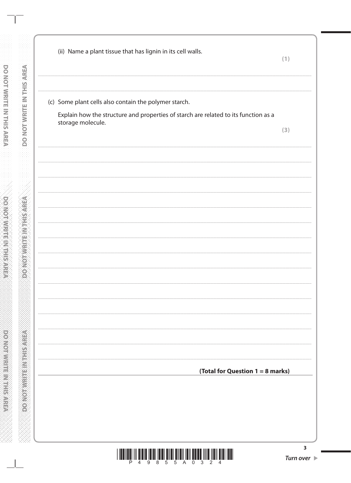| (ii) Name a plant tissue that has lignin in its cell walls.                                                                                  | (1) |
|----------------------------------------------------------------------------------------------------------------------------------------------|-----|
| (c) Some plant cells also contain the polymer starch.<br>Explain how the structure and properties of starch are related to its function as a |     |
| storage molecule.                                                                                                                            | (3) |
|                                                                                                                                              |     |
|                                                                                                                                              |     |
|                                                                                                                                              |     |
|                                                                                                                                              |     |
|                                                                                                                                              |     |
|                                                                                                                                              |     |
| (Total for Question 1 = 8 marks)                                                                                                             |     |
|                                                                                                                                              |     |
|                                                                                                                                              |     |
|                                                                                                                                              |     |

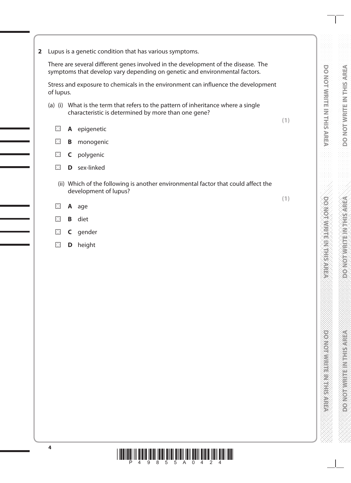**PODYOBY AT EXPERIMENT SYSTEM** 

**2** Lupus is a genetic condition that has various symptoms.

There are several different genes involved in the development of the disease. The symptoms that develop vary depending on genetic and environmental factors.

Stress and exposure to chemicals in the environment can influence the development of lupus.

(a) (i) What is the term that refers to the pattern of inheritance where a single characteristic is determined by more than one gene?

**(1)**

- **A** epigenetic
- **B** monogenic
- **ZC** polygenic
- **D** sex-linked
- (ii) Which of the following is another environmental factor that could affect the development of lupus?
- **A** age
- **B** diet
- **C** gender
- **D** height

**(1)**

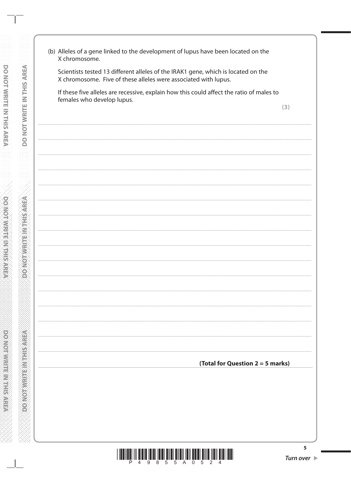| (b) Alleles of a gene linked to the development of lupus have been located on the<br>X chromosome.                                                   |     |
|------------------------------------------------------------------------------------------------------------------------------------------------------|-----|
| Scientists tested 13 different alleles of the IRAK1 gene, which is located on the<br>X chromosome. Five of these alleles were associated with lupus. |     |
| If these five alleles are recessive, explain how this could affect the ratio of males to<br>females who develop lupus.                               |     |
|                                                                                                                                                      | (3) |
|                                                                                                                                                      |     |
|                                                                                                                                                      |     |
|                                                                                                                                                      |     |
|                                                                                                                                                      |     |
|                                                                                                                                                      |     |
|                                                                                                                                                      |     |
|                                                                                                                                                      |     |
|                                                                                                                                                      |     |
|                                                                                                                                                      |     |
|                                                                                                                                                      |     |
|                                                                                                                                                      |     |
|                                                                                                                                                      |     |
|                                                                                                                                                      |     |
| (Total for Question 2 = 5 marks)                                                                                                                     |     |
|                                                                                                                                                      |     |
|                                                                                                                                                      |     |
|                                                                                                                                                      |     |
|                                                                                                                                                      |     |
|                                                                                                                                                      |     |

**DONOTWATEW HISAREA** 

**ASSESSMENT MANAGEMENT** 

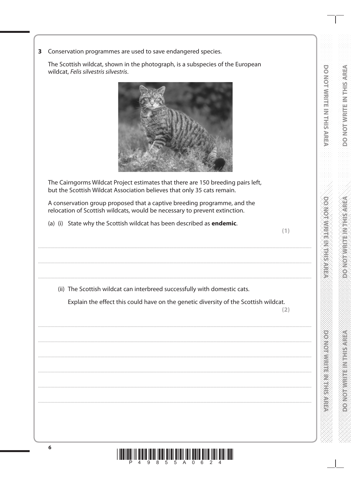3 Conservation programmes are used to save endangered species.

The Scottish wildcat, shown in the photograph, is a subspecies of the European wildcat. Felis silvestris silvestris.



The Cairngorms Wildcat Project estimates that there are 150 breeding pairs left, but the Scottish Wildcat Association believes that only 35 cats remain.

A conservation group proposed that a captive breeding programme, and the relocation of Scottish wildcats, would be necessary to prevent extinction.

(a) (i) State why the Scottish wildcat has been described as **endemic**.

(ii) The Scottish wildcat can interbreed successfully with domestic cats.

Explain the effect this could have on the genetic diversity of the Scottish wildcat.

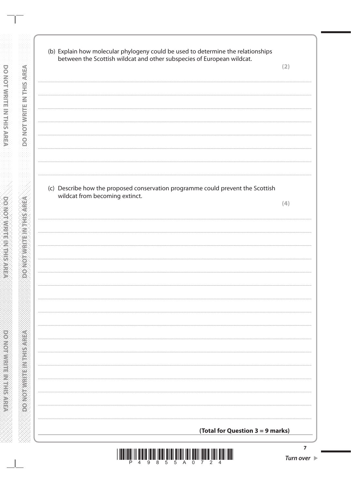(b) Explain how molecular phylogeny could be used to determine the relationships between the Scottish wildcat and other subspecies of European wildcat.  $(2)$ (c) Describe how the proposed conservation programme could prevent the Scottish wildcat from becoming extinct. **DONOTWRITEINTHISAREA**  $(4)$ (Total for Question 3 = 9 marks)  $\overline{z}$ 

**RESPONDED MEANS AND ROOM**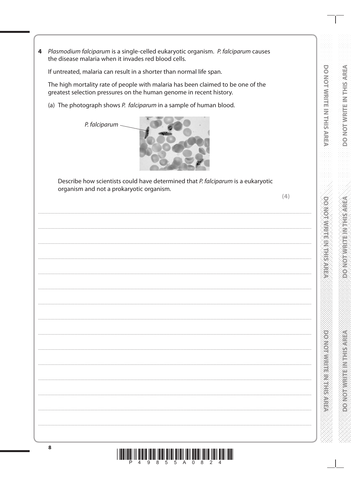4 Plasmodium falciparum is a single-celled eukaryotic organism. P. falciparum causes the disease malaria when it invades red blood cells. If untreated, malaria can result in a shorter than normal life span. The high mortality rate of people with malaria has been claimed to be one of the greatest selection pressures on the human genome in recent history. (a) The photograph shows P. falciparum in a sample of human blood. P. falciparum -Describe how scientists could have determined that P. falciparum is a eukaryotic organism and not a prokaryotic organism.  $(4)$ 

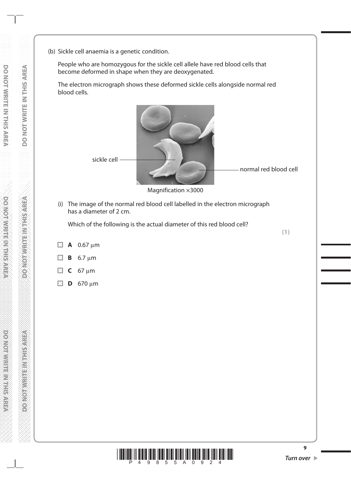(b) Sickle cell anaemia is a genetic condition.

 People who are homozygous for the sickle cell allele have red blood cells that become deformed in shape when they are deoxygenated.

 The electron micrograph shows these deformed sickle cells alongside normal red blood cells.



 (i) The image of the normal red blood cell labelled in the electron micrograph has a diameter of 2 cm.

Which of the following is the actual diameter of this red blood cell?

**(1)**

- **A** 0.67 µm
- **B** 6.7 µm
- **C** 67 µm
- **D** 670 µm

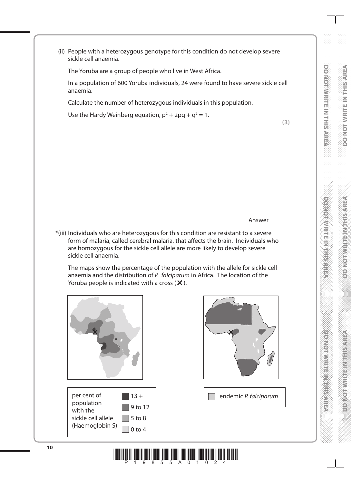**DOXORATE METRIC SATE:** 

 (ii) People with a heterozygous genotype for this condition do not develop severe sickle cell anaemia.

The Yoruba are a group of people who live in West Africa.

 In a population of 600 Yoruba individuals, 24 were found to have severe sickle cell anaemia.

Calculate the number of heterozygous individuals in this population.

Use the Hardy Weinberg equation,  $p^2 + 2pq + q^2 = 1$ .

**(3)**

Answer...

 \*(iii) Individuals who are heterozygous for this condition are resistant to a severe form of malaria, called cerebral malaria, that affects the brain. Individuals who are homozygous for the sickle cell allele are more likely to develop severe sickle cell anaemia.

 The maps show the percentage of the population with the allele for sickle cell anaemia and the distribution of *P. falciparum* in Africa. The location of the Yoruba people is indicated with a cross  $(X)$ .

| per cent of<br>population      | $13 +$<br>9 to 12 | endemic P. falciparum |
|--------------------------------|-------------------|-----------------------|
| with the<br>sickle cell allele | $5$ to $8$        |                       |
| (Haemoglobin S)                | $0$ to $4$        |                       |

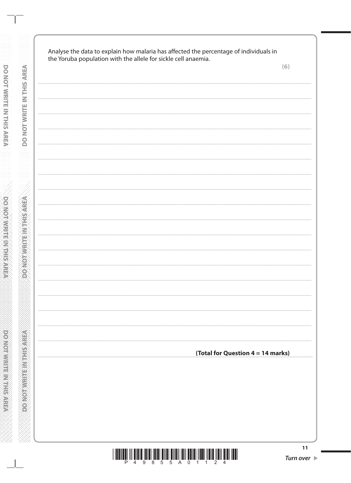|          | the Yoruba population with the allele for sickle cell anaemia. | Analyse the data to explain how malaria has affected the percentage of individuals in |
|----------|----------------------------------------------------------------|---------------------------------------------------------------------------------------|
|          |                                                                | (6)                                                                                   |
|          |                                                                |                                                                                       |
|          |                                                                |                                                                                       |
|          |                                                                |                                                                                       |
|          |                                                                |                                                                                       |
| $\cdots$ |                                                                |                                                                                       |
|          |                                                                |                                                                                       |
|          |                                                                |                                                                                       |
|          |                                                                |                                                                                       |
|          |                                                                |                                                                                       |
|          |                                                                |                                                                                       |
|          |                                                                |                                                                                       |
|          |                                                                |                                                                                       |
|          |                                                                |                                                                                       |
|          |                                                                |                                                                                       |
|          |                                                                |                                                                                       |
|          |                                                                |                                                                                       |
|          |                                                                |                                                                                       |
|          |                                                                |                                                                                       |
|          |                                                                |                                                                                       |
|          |                                                                |                                                                                       |
|          |                                                                |                                                                                       |
|          |                                                                |                                                                                       |
|          |                                                                |                                                                                       |
|          |                                                                |                                                                                       |
|          |                                                                |                                                                                       |
|          |                                                                |                                                                                       |
|          |                                                                |                                                                                       |
|          |                                                                |                                                                                       |
|          |                                                                |                                                                                       |
|          |                                                                |                                                                                       |
|          |                                                                |                                                                                       |
|          |                                                                | (Total for Question 4 = 14 marks)                                                     |
|          |                                                                |                                                                                       |
|          |                                                                |                                                                                       |
|          |                                                                |                                                                                       |
|          |                                                                |                                                                                       |
|          |                                                                |                                                                                       |
|          |                                                                |                                                                                       |
|          |                                                                |                                                                                       |
|          |                                                                |                                                                                       |
|          |                                                                |                                                                                       |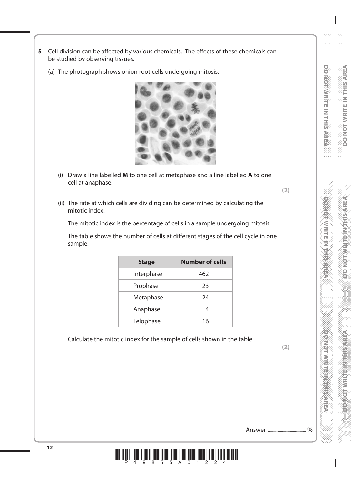**DOMESTIC PRIMERING STREET** 

- **5** Cell division can be affected by various chemicals. The effects of these chemicals can be studied by observing tissues.
	- (a) The photograph shows onion root cells undergoing mitosis.



 (i) Draw a line labelled **M** to one cell at metaphase and a line labelled **A** to one cell at anaphase.

**(2)**

 (ii) The rate at which cells are dividing can be determined by calculating the mitotic index.

The mitotic index is the percentage of cells in a sample undergoing mitosis.

 The table shows the number of cells at different stages of the cell cycle in one sample.

| <b>Stage</b> | <b>Number of cells</b> |
|--------------|------------------------|
| Interphase   | 462                    |
| Prophase     | 23                     |
| Metaphase    | 24                     |
| Anaphase     | 4                      |
| Telophase    | 16                     |

Calculate the mitotic index for the sample of cells shown in the table.

**(2)**

Answer ....................................... %

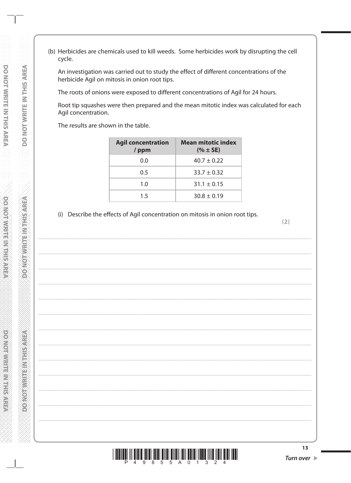(b) Herbicides are chemicals used to kill weeds. Some herbicides work by disrupting the cell cycle.

An investigation was carried out to study the effect of different concentrations of the herbicide Agil on mitosis in onion root tips.

The roots of onions were exposed to different concentrations of Agil for 24 hours.

Root tip squashes were then prepared and the mean mitotic index was calculated for each Agil concentration.

The results are shown in the table.

| <b>Agil concentration</b><br>/ $ppm$ | <b>Mean mitotic index</b><br>$(% \pm SE)$ |
|--------------------------------------|-------------------------------------------|
| 0.0                                  | $40.7 + 0.22$                             |
| 0.5                                  | $33.7 \pm 0.32$                           |
| 1.0                                  | $31.1 \pm 0.15$                           |
| 1.5                                  | $30.8 + 0.19$                             |

(i) Describe the effects of Agil concentration on mitosis in onion root tips.

 $13$ 

**POSSESSIONS**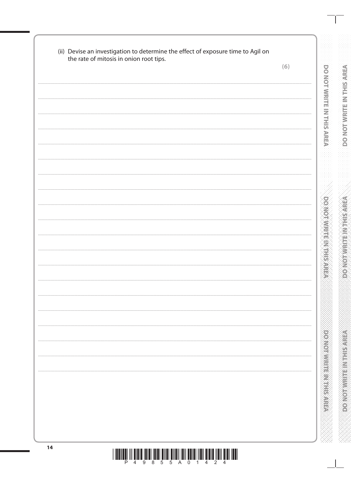| the rate of mitosis in onion root tips. | (6) |
|-----------------------------------------|-----|
|                                         |     |
|                                         |     |
|                                         |     |
|                                         |     |
|                                         |     |
|                                         |     |
|                                         |     |
|                                         |     |
|                                         |     |
|                                         |     |
|                                         |     |
|                                         |     |
|                                         |     |
|                                         |     |
|                                         |     |
|                                         |     |
|                                         |     |
|                                         |     |
|                                         |     |
|                                         |     |
|                                         |     |
|                                         |     |
|                                         |     |
|                                         |     |
|                                         |     |
|                                         |     |
|                                         | .   |
|                                         |     |
|                                         |     |
|                                         |     |
|                                         |     |
|                                         |     |
|                                         |     |
|                                         |     |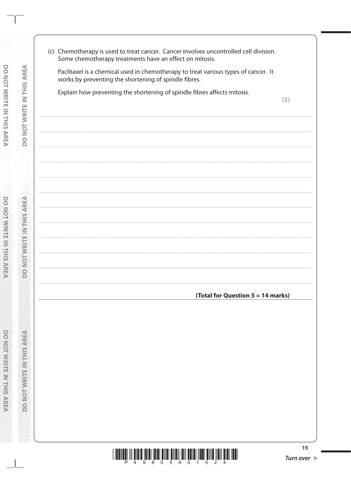| (c) Chemotherapy is used to treat cancer. Cancer involves uncontrolled cell division.                                                       |     |
|---------------------------------------------------------------------------------------------------------------------------------------------|-----|
| Some chemotherapy treatments have an effect on mitosis.                                                                                     |     |
| Paclitaxel is a chemical used in chemotherapy to treat various types of cancer. It<br>works by preventing the shortening of spindle fibres. |     |
| Explain how preventing the shortening of spindle fibres affects mitosis.                                                                    |     |
|                                                                                                                                             | (2) |
|                                                                                                                                             |     |
|                                                                                                                                             |     |
|                                                                                                                                             |     |
|                                                                                                                                             |     |
|                                                                                                                                             |     |
|                                                                                                                                             |     |
|                                                                                                                                             |     |
|                                                                                                                                             |     |
|                                                                                                                                             |     |
|                                                                                                                                             |     |
|                                                                                                                                             |     |
|                                                                                                                                             |     |
|                                                                                                                                             |     |
|                                                                                                                                             |     |
|                                                                                                                                             |     |
|                                                                                                                                             |     |
| (Total for Question 5 = 14 marks)                                                                                                           |     |
|                                                                                                                                             |     |
|                                                                                                                                             |     |
|                                                                                                                                             |     |
|                                                                                                                                             |     |
|                                                                                                                                             |     |
|                                                                                                                                             |     |
|                                                                                                                                             |     |
|                                                                                                                                             |     |
|                                                                                                                                             |     |
|                                                                                                                                             |     |
|                                                                                                                                             |     |
|                                                                                                                                             |     |
|                                                                                                                                             |     |
|                                                                                                                                             |     |

**DONOTWRITE IN THIS AREA** 

**DONOT WRITEIN THIS AREA**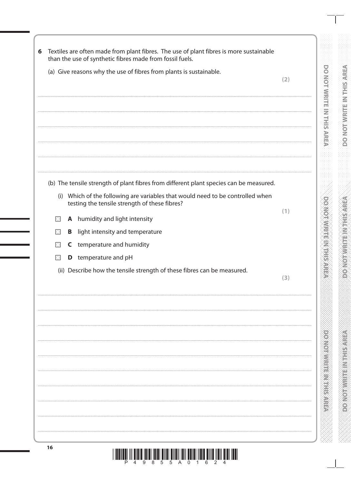|          |   | (a) Give reasons why the use of fibres from plants is sustainable.                                                          | (2) |
|----------|---|-----------------------------------------------------------------------------------------------------------------------------|-----|
|          |   |                                                                                                                             |     |
|          |   |                                                                                                                             |     |
|          |   |                                                                                                                             |     |
|          |   |                                                                                                                             |     |
|          |   |                                                                                                                             |     |
|          |   |                                                                                                                             |     |
|          |   | (b) The tensile strength of plant fibres from different plant species can be measured.                                      |     |
| (i)      |   | Which of the following are variables that would need to be controlled when<br>testing the tensile strength of these fibres? | (1) |
| $\times$ | A | humidity and light intensity                                                                                                |     |
|          | B | light intensity and temperature                                                                                             |     |
|          | C | temperature and humidity                                                                                                    |     |
|          | D | temperature and pH                                                                                                          |     |
|          |   | (ii) Describe how the tensile strength of these fibres can be measured.                                                     | (3) |
|          |   |                                                                                                                             |     |
|          |   |                                                                                                                             |     |
|          |   |                                                                                                                             |     |
|          |   |                                                                                                                             |     |
|          |   |                                                                                                                             |     |
|          |   |                                                                                                                             |     |
|          |   |                                                                                                                             |     |
|          |   |                                                                                                                             |     |
|          |   |                                                                                                                             |     |
|          |   |                                                                                                                             |     |
|          |   |                                                                                                                             |     |

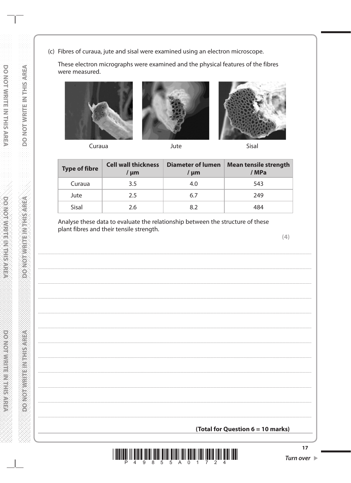(c) Fibres of curaua, jute and sisal were examined using an electron microscope.

These electron micrographs were examined and the physical features of the fibres were measured.



Curaua





Jute



Sisal

| <b>Type of fibre</b> | <b>Cell wall thickness</b><br>µm | <b>Diameter of lumen</b><br>/ um | <b>Mean tensile strength</b><br>/ MPa |  |
|----------------------|----------------------------------|----------------------------------|---------------------------------------|--|
| Curaua               | $3.5\phantom{0}$                 | 4.0                              | 543                                   |  |
| Jute                 | 2.5                              | 6.7                              | 249                                   |  |
| Sisal                | 2.6                              | 82                               | 484                                   |  |

Analyse these data to evaluate the relationship between the structure of these plant fibres and their tensile strength.

**RESPONDED MEANS AND ROOM** 

## (Total for Question 6 = 10 marks)

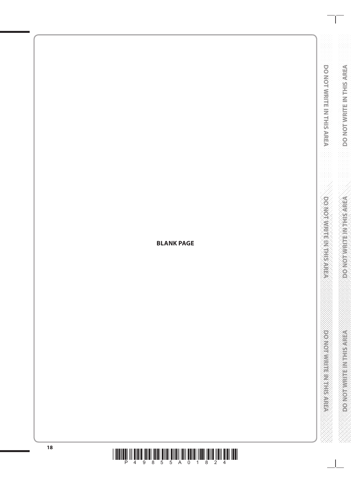88888



**BLANK PAGE**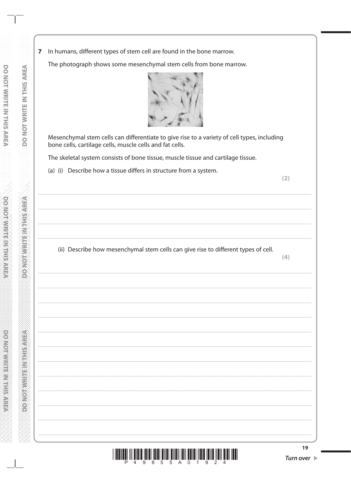7 In humans, different types of stem cell are found in the bone marrow.

The photograph shows some mesenchymal stem cells from bone marrow.



Mesenchymal stem cells can differentiate to give rise to a variety of cell types, including bone cells, cartilage cells, muscle cells and fat cells.

The skeletal system consists of bone tissue, muscle tissue and cartilage tissue.

(a) (i) Describe how a tissue differs in structure from a system.

(ii) Describe how mesenchymal stem cells can give rise to different types of cell.

 $(2)$ 

**POSSIBLE IN THE STATE OF STATE** 

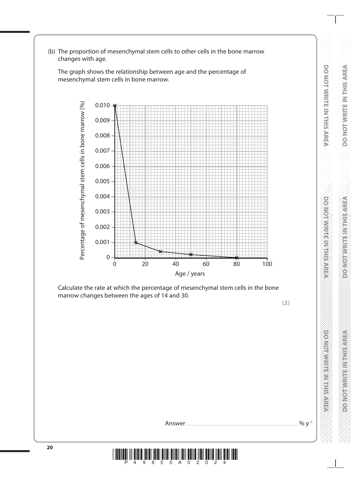(b) The proportion of mesenchymal stem cells to other cells in the bone marrow changes with age.

 The graph shows the relationship between age and the percentage of mesenchymal stem cells in bone marrow.



 Calculate the rate at which the percentage of mesenchymal stem cells in the bone marrow changes between the ages of 14 and 30.

**(2)**

**DO NOT WRITE IN THE INTERNATION** 

DO NOT WRITE IN THIS AREA

**DO NOT WRITE IN THE INTERNATIONAL CONTRACTOR** 

**DOMOTWRITE IN THIS AREA** 

20 **1111 111 111 111 111 111 111 111 111 111 111 111 111 111** 

Answer ................................................................................................................ % y–1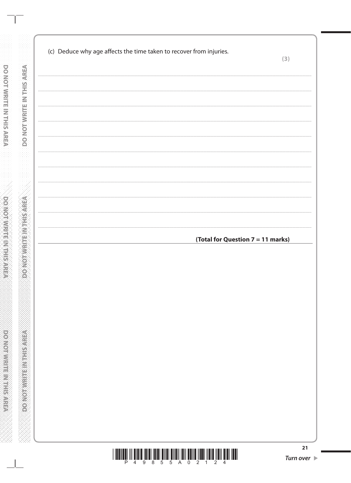|                                     | (c) Deduce why age affects the time taken to recover from injuries. | (3) |
|-------------------------------------|---------------------------------------------------------------------|-----|
|                                     |                                                                     |     |
| DO NOT WRITEIN THIS AREA            |                                                                     |     |
|                                     | $\cdots$                                                            |     |
|                                     |                                                                     |     |
|                                     |                                                                     |     |
|                                     | (Total for Question 7 = 11 marks)                                   |     |
| <b>POWOTWATEWYHISAREA</b>           |                                                                     |     |
|                                     |                                                                     |     |
|                                     |                                                                     |     |
|                                     |                                                                     |     |
|                                     |                                                                     |     |
|                                     |                                                                     |     |
|                                     |                                                                     |     |
| <b>RESERVE IN ESTATE ON CONSERV</b> |                                                                     |     |

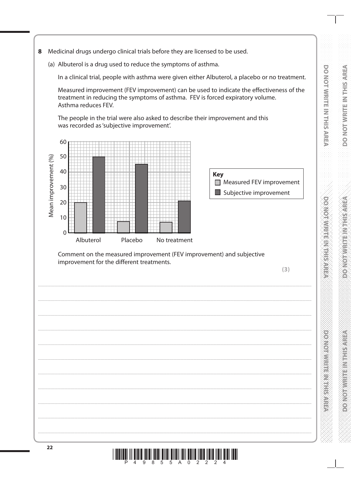**POSTER AND RESIDENCE** 



 $(3)$ 

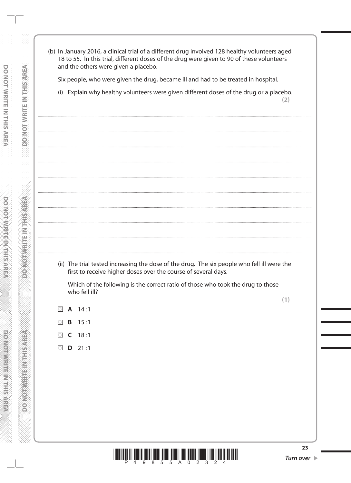(b) In January 2016, a clinical trial of a different drug involved 128 healthy volunteers aged 18 to 55. In this trial, different doses of the drug were given to 90 of these volunteers and the others were given a placebo.

Six people, who were given the drug, became ill and had to be treated in hospital.

(i) Explain why healthy volunteers were given different doses of the drug or a placebo.

 $(2)$ 

(ii) The trial tested increasing the dose of the drug. The six people who fell ill were the first to receive higher doses over the course of several days.

Which of the following is the correct ratio of those who took the drug to those who fell ill?

 $(1)$ 

- $\blacksquare$  A 14:1
- **B** 15:1
- $\blacksquare$  C 18:1
- $\blacksquare$  D 21:1



**DO NOT WRITE IN THIS AREA** 

**ACANOTAMP ITE IN THIS AREA**